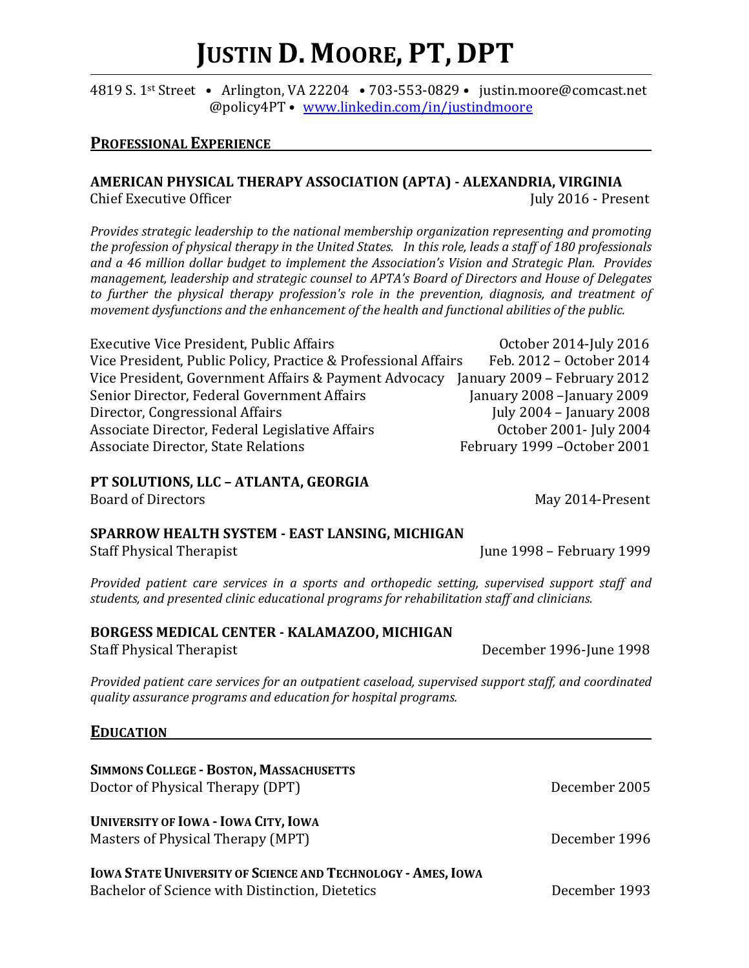# **JUSTIN D. MOORE, PT, DPT**

#### 4819 S. 1st Street • Arlington, VA 22204 • 703-553-0829 • justin.moore@comcast.net @policy4PT • [www.linkedin.com/in/justindmoore](http://www.linkedin.com/in/justindmoore)

## **PROFESSIONAL EXPERIENCE**

# **AMERICAN PHYSICAL THERAPY ASSOCIATION (APTA) - ALEXANDRIA, VIRGINIA**

Chief Executive Officer  $\qquad \qquad \qquad$  July 2016 - Present

*Provides strategic leadership to the national membership organization representing and promoting the profession of physical therapy in the United States. In this role, leads a staff of 180 professionals and a 46 million dollar budget to implement the Association's Vision and Strategic Plan. Provides management, leadership and strategic counsel to APTA's Board of Directors and House of Delegates to further the physical therapy profession's role in the prevention, diagnosis, and treatment of movement dysfunctions and the enhancement of the health and functional abilities of the public.*

| <b>Executive Vice President, Public Affairs</b>                                    | October 2014-July 2016       |
|------------------------------------------------------------------------------------|------------------------------|
| Vice President, Public Policy, Practice & Professional Affairs                     | Feb. 2012 - October 2014     |
| Vice President, Government Affairs & Payment Advocacy January 2009 - February 2012 |                              |
| Senior Director, Federal Government Affairs                                        | January 2008 - January 2009  |
| Director, Congressional Affairs                                                    | July 2004 - January 2008     |
| Associate Director, Federal Legislative Affairs                                    | October 2001- July 2004      |
| <b>Associate Director, State Relations</b>                                         | February 1999 - October 2001 |
|                                                                                    |                              |

## **PT SOLUTIONS, LLC – ATLANTA, GEORGIA**

#### **SPARROW HEALTH SYSTEM - EAST LANSING, MICHIGAN**

*Provided patient care services in a sports and orthopedic setting, supervised support staff and students, and presented clinic educational programs for rehabilitation staff and clinicians.*

## **BORGESS MEDICAL CENTER - KALAMAZOO, MICHIGAN**

Staff Physical Therapist **December 1996-June 1998** 

*Provided patient care services for an outpatient caseload, supervised support staff, and coordinated quality assurance programs and education for hospital programs.*

## **EDUCATION**

| <b>SIMMONS COLLEGE - BOSTON, MASSACHUSETTS</b><br>Doctor of Physical Therapy (DPT)                                     | December 2005 |
|------------------------------------------------------------------------------------------------------------------------|---------------|
| <b>UNIVERSITY OF IOWA - IOWA CITY, IOWA</b><br>Masters of Physical Therapy (MPT)                                       | December 1996 |
| <b>IOWA STATE UNIVERSITY OF SCIENCE AND TECHNOLOGY - AMES, IOWA</b><br>Bachelor of Science with Distinction, Dietetics | December 1993 |

Board of Directors May 2014-Present

Staff Physical Therapist **June 1998** – February 1999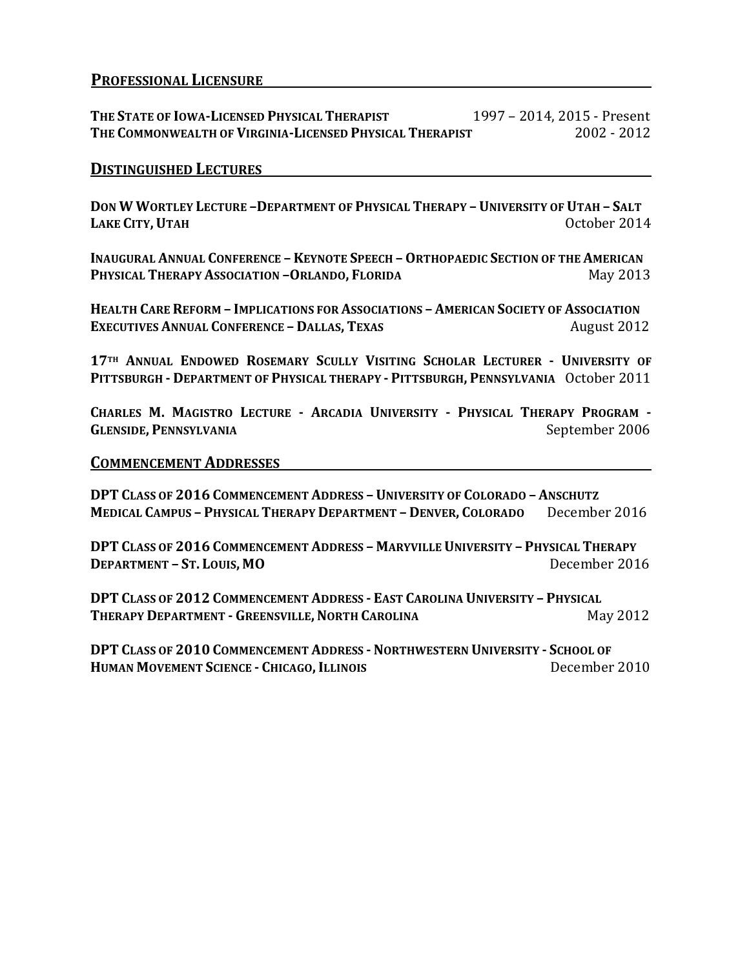## **PROFESSIONAL LICENSURE**

**THE STATE OF IOWA-LICENSED PHYSICAL THERAPIST** 1997 – 2014, 2015 - Present **THE COMMONWEALTH OF VIRGINIA-LICENSED PHYSICAL THERAPIST** 

#### **DISTINGUISHED LECTURES**

**DON W WORTLEY LECTURE –DEPARTMENT OF PHYSICAL THERAPY – UNIVERSITY OF UTAH – SALT LAKE CITY,UTAH** October 2014

**INAUGURAL ANNUAL CONFERENCE - KEYNOTE SPEECH - ORTHOPAEDIC SECTION OF THE AMERICAN PHYSICAL THERAPY ASSOCIATION –ORLANDO, FLORIDA** May 2013

**HEALTH CARE REFORM – IMPLICATIONS FOR ASSOCIATIONS – AMERICAN SOCIETY OF ASSOCIATION EXECUTIVES ANNUAL CONFERENCE – DALLAS, TEXAS** August 2012

**17TH ANNUAL ENDOWED ROSEMARY SCULLY VISITING SCHOLAR LECTURER - UNIVERSITY OF PITTSBURGH - DEPARTMENT OF PHYSICAL THERAPY - PITTSBURGH, PENNSYLVANIA** October 2011

**CHARLES M. MAGISTRO LECTURE - ARCADIA UNIVERSITY - PHYSICAL THERAPY PROGRAM - GLENSIDE, PENNSYLVANIA** September 2006

#### **COMMENCEMENT ADDRESSES**

**DPT CLASS OF 2016 COMMENCEMENT ADDRESS – UNIVERSITY OF COLORADO –ANSCHUTZ MEDICAL CAMPUS – PHYSICAL THERAPY DEPARTMENT – DENVER, COLORADO** December 2016

**DPT CLASS OF 2016 COMMENCEMENT ADDRESS – MARYVILLE UNIVERSITY – PHYSICAL THERAPY DEPARTMENT – ST. LOUIS, MO** December 2016

**DPT CLASS OF 2012 COMMENCEMENT ADDRESS - EAST CAROLINA UNIVERSITY – PHYSICAL THERAPY DEPARTMENT - GREENSVILLE, NORTH CAROLINA May 2012** 

**DPT CLASS OF 2010 COMMENCEMENT ADDRESS - NORTHWESTERN UNIVERSITY - SCHOOL OF HUMAN MOVEMENT SCIENCE - CHICAGO, ILLINOIS** December 2010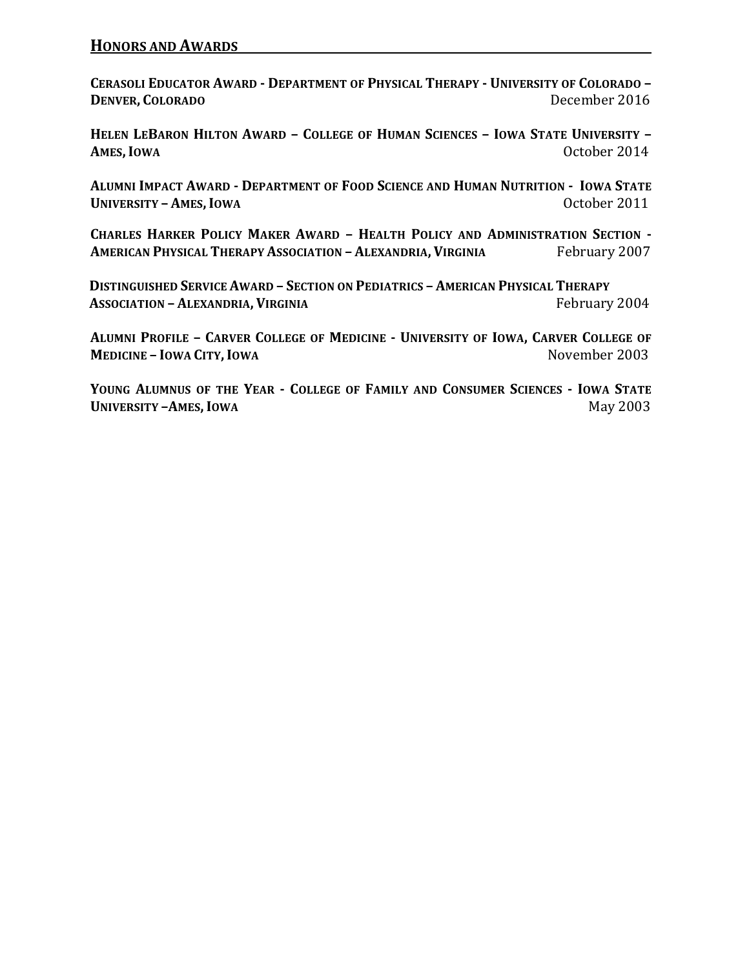**CERASOLI EDUCATOR AWARD - DEPARTMENT OF PHYSICAL THERAPY - UNIVERSITY OF COLORADO – DENVER, COLORADO** December 2016

**HELEN LEBARON HILTON AWARD – COLLEGE OF HUMAN SCIENCES – IOWA STATE UNIVERSITY – AMES, IOWA** October 2014

**ALUMNI IMPACT AWARD - DEPARTMENT OF FOOD SCIENCE AND HUMAN NUTRITION - IOWA STATE UNIVERSITY – AMES, IOWA COLORED 2011** 

**CHARLES HARKER POLICY MAKER AWARD – HEALTH POLICY AND ADMINISTRATION SECTION - AMERICAN PHYSICAL THERAPY ASSOCIATION – ALEXANDRIA, VIRGINIA** February 2007

 **DISTINGUISHED SERVICE AWARD – SECTION ON PEDIATRICS – AMERICAN PHYSICAL THERAPY ASSOCIATION – ALEXANDRIA, VIRGINIA Example 1 Example 2004** February 2004

**ALUMNI PROFILE – CARVER COLLEGE OF MEDICINE - UNIVERSITY OF IOWA, CARVER COLLEGE OF MEDICINE – IOWA CITY, IOWA November 2003** 

**YOUNG ALUMNUS OF THE YEAR - COLLEGE OF FAMILY AND CONSUMER SCIENCES - IOWA STATE UNIVERSITY –AMES, IOWA May 2003**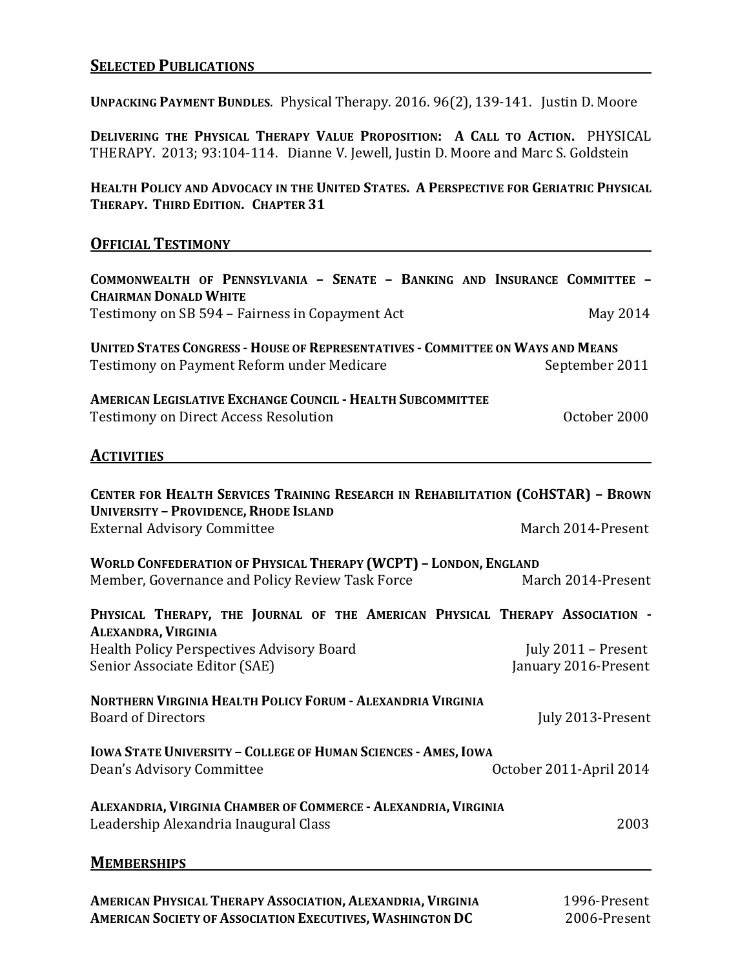## **SELECTED PUBLICATIONS**

**UNPACKING PAYMENT BUNDLES**. Physical Therapy. 2016. 96(2), 139-141. Justin D. Moore

**DELIVERING THE PHYSICAL THERAPY VALUE PROPOSITION: A CALL TO ACTION.** PHYSICAL THERAPY. 2013; 93:104-114. Dianne V. Jewell, Justin D. Moore and Marc S. Goldstein

**HEALTH POLICY AND ADVOCACY IN THE UNITED STATES. A PERSPECTIVE FOR GERIATRIC PHYSICAL THERAPY. THIRD EDITION. CHAPTER 31**

#### **OFFICIAL TESTIMONY**

| COMMONWEALTH OF PENNSYLVANIA - SENATE - BANKING AND INSURANCE COMMITTEE -<br><b>CHAIRMAN DONALD WHITE</b>                            |                         |  |
|--------------------------------------------------------------------------------------------------------------------------------------|-------------------------|--|
| Testimony on SB 594 - Fairness in Copayment Act                                                                                      | May 2014                |  |
| <b>UNITED STATES CONGRESS - HOUSE OF REPRESENTATIVES - COMMITTEE ON WAYS AND MEANS</b><br>Testimony on Payment Reform under Medicare | September 2011          |  |
| <b>AMERICAN LEGISLATIVE EXCHANGE COUNCIL - HEALTH SUBCOMMITTEE</b><br><b>Testimony on Direct Access Resolution</b>                   | October 2000            |  |
| <b>ACTIVITIES</b>                                                                                                                    |                         |  |
| CENTER FOR HEALTH SERVICES TRAINING RESEARCH IN REHABILITATION (COHSTAR) - BROWN<br><b>UNIVERSITY - PROVIDENCE, RHODE ISLAND</b>     |                         |  |
| <b>External Advisory Committee</b>                                                                                                   | March 2014-Present      |  |
| <b>WORLD CONFEDERATION OF PHYSICAL THERAPY (WCPT) - LONDON, ENGLAND</b>                                                              |                         |  |
| Member, Governance and Policy Review Task Force                                                                                      | March 2014-Present      |  |
| PHYSICAL THERAPY, THE JOURNAL OF THE AMERICAN PHYSICAL THERAPY ASSOCIATION -<br>ALEXANDRA, VIRGINIA                                  |                         |  |
| <b>Health Policy Perspectives Advisory Board</b>                                                                                     | July 2011 – Present     |  |
| Senior Associate Editor (SAE)                                                                                                        | January 2016-Present    |  |
| NORTHERN VIRGINIA HEALTH POLICY FORUM - ALEXANDRIA VIRGINIA<br><b>Board of Directors</b>                                             | July 2013-Present       |  |
| <b>IOWA STATE UNIVERSITY - COLLEGE OF HUMAN SCIENCES - AMES, IOWA</b><br>Dean's Advisory Committee                                   | October 2011-April 2014 |  |
| ALEXANDRIA, VIRGINIA CHAMBER OF COMMERCE - ALEXANDRIA, VIRGINIA<br>Leadership Alexandria Inaugural Class                             | 2003                    |  |
| <b>MEMBERSHIPS</b>                                                                                                                   |                         |  |

**AMERICAN PHYSICAL THERAPY ASSOCIATION, ALEXANDRIA, VIRGINIA** 1996-Present **AMERICAN SOCIETY OF ASSOCIATION EXECUTIVES, WASHINGTON DC**